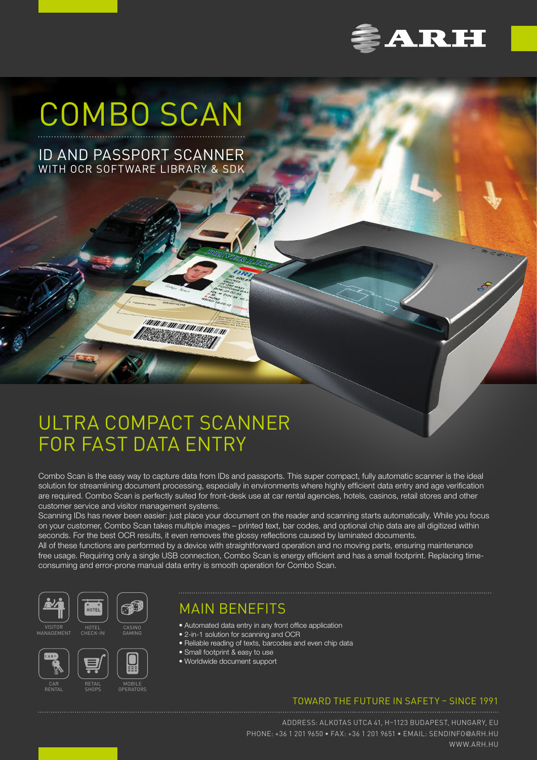

# COMBO SCAN

ID AND PASSPORT SCANNER WITH OCR SOFTWARE LIBRARY & SDK

## ULTRA COMPACT SCANNER FOR FAST DATA ENTRY

Combo Scan is the easy way to capture data from IDs and passports. This super compact, fully automatic scanner is the ideal solution for streamlining document processing, especially in environments where highly efficient data entry and age verification are required. Combo Scan is perfectly suited for front-desk use at car rental agencies, hotels, casinos, retail stores and other customer service and visitor management systems.

Scanning IDs has never been easier: just place your document on the reader and scanning starts automatically. While you focus on your customer, Combo Scan takes multiple images – printed text, bar codes, and optional chip data are all digitized within seconds. For the best OCR results, it even removes the glossy reflections caused by laminated documents. All of these functions are performed by a device with straightforward operation and no moving parts, ensuring maintenance

free usage. Requiring only a single USB connection, Combo Scan is energy efficient and has a small footprint. Replacing timeconsuming and error-prone manual data entry is smooth operation for Combo Scan.

• Automated data entry in any front office application











SHOPS



CAR RENTAL



CASINO GAMING

١

• 2-in-1 solution for scanning and OCR • Reliable reading of texts, barcodes and even chip data

• Small footprint & easy to use

MAIN BENEFITS

• Worldwide document support

## TOWARD THE FUTURE IN SAFETY – SINCE 1991

ADDRESS: ALKOTAS UTCA 41, H–1123 BUDAPEST, HUNGARY, EU PHONE: +36 1 201 9650 • FAX: +36 1 201 9651 • EMAIL: [SENDINFO](mailto:sendinfo%40arh.hu%20?subject=)@ARH.HU [WWW.ARH.HU](https://www.arh.hu)